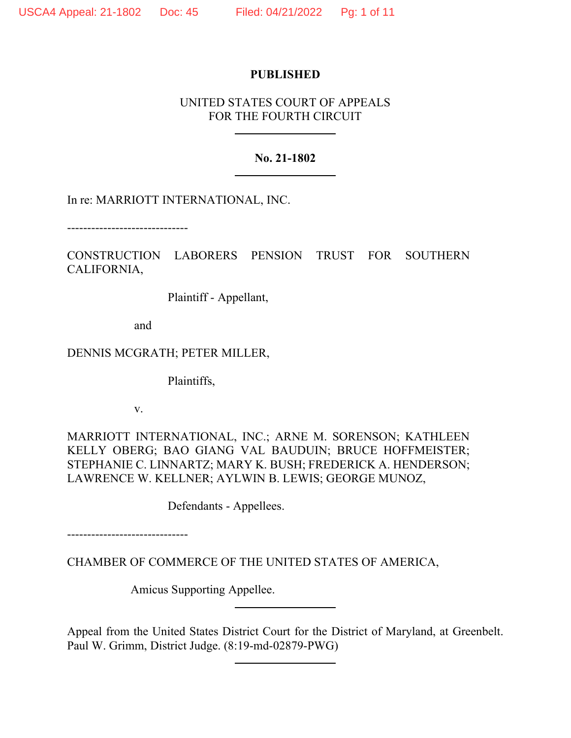### **PUBLISHED**

# UNITED STATES COURT OF APPEALS FOR THE FOURTH CIRCUIT

## **No. 21-1802**

In re: MARRIOTT INTERNATIONAL, INC.

------------------------------

CONSTRUCTION LABORERS PENSION TRUST FOR SOUTHERN CALIFORNIA,

Plaintiff - Appellant,

and

DENNIS MCGRATH; PETER MILLER,

Plaintiffs,

v.

MARRIOTT INTERNATIONAL, INC.; ARNE M. SORENSON; KATHLEEN KELLY OBERG; BAO GIANG VAL BAUDUIN; BRUCE HOFFMEISTER; STEPHANIE C. LINNARTZ; MARY K. BUSH; FREDERICK A. HENDERSON; LAWRENCE W. KELLNER; AYLWIN B. LEWIS; GEORGE MUNOZ,

Defendants - Appellees.

------------------------------

CHAMBER OF COMMERCE OF THE UNITED STATES OF AMERICA,

Amicus Supporting Appellee.

Appeal from the United States District Court for the District of Maryland, at Greenbelt. Paul W. Grimm, District Judge. (8:19-md-02879-PWG)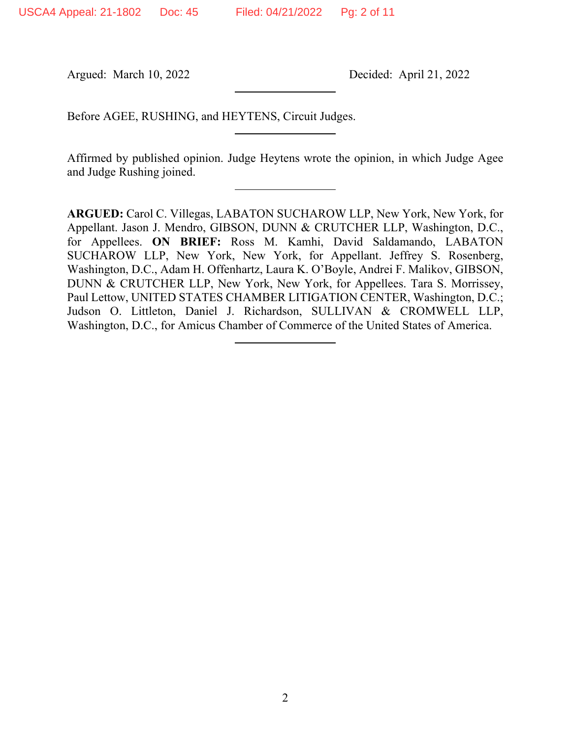Argued: March 10, 2022 Decided: April 21, 2022

Before AGEE, RUSHING, and HEYTENS, Circuit Judges.

Affirmed by published opinion. Judge Heytens wrote the opinion, in which Judge Agee and Judge Rushing joined.

**ARGUED:** Carol C. Villegas, LABATON SUCHAROW LLP, New York, New York, for Appellant. Jason J. Mendro, GIBSON, DUNN & CRUTCHER LLP, Washington, D.C., for Appellees. **ON BRIEF:** Ross M. Kamhi, David Saldamando, LABATON SUCHAROW LLP, New York, New York, for Appellant. Jeffrey S. Rosenberg, Washington, D.C., Adam H. Offenhartz, Laura K. O'Boyle, Andrei F. Malikov, GIBSON, DUNN & CRUTCHER LLP, New York, New York, for Appellees. Tara S. Morrissey, Paul Lettow, UNITED STATES CHAMBER LITIGATION CENTER, Washington, D.C.; Judson O. Littleton, Daniel J. Richardson, SULLIVAN & CROMWELL LLP, Washington, D.C., for Amicus Chamber of Commerce of the United States of America.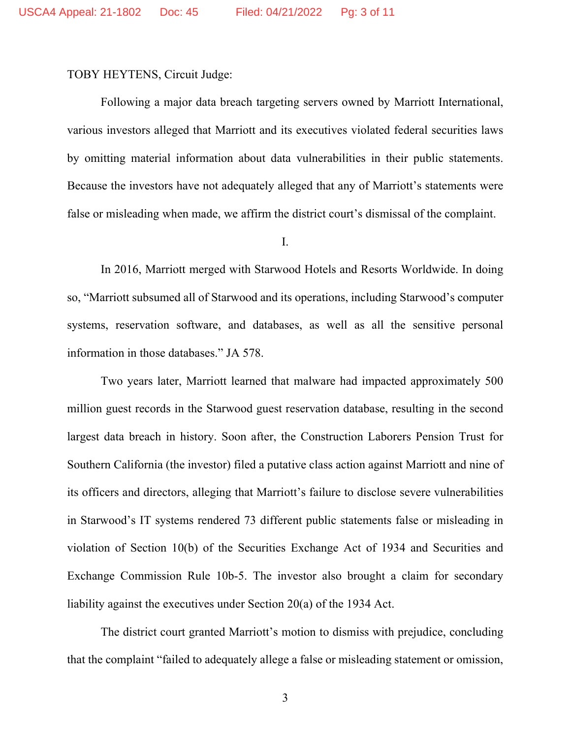TOBY HEYTENS, Circuit Judge:

Following a major data breach targeting servers owned by Marriott International, various investors alleged that Marriott and its executives violated federal securities laws by omitting material information about data vulnerabilities in their public statements. Because the investors have not adequately alleged that any of Marriott's statements were false or misleading when made, we affirm the district court's dismissal of the complaint.

I.

In 2016, Marriott merged with Starwood Hotels and Resorts Worldwide. In doing so, "Marriott subsumed all of Starwood and its operations, including Starwood's computer systems, reservation software, and databases, as well as all the sensitive personal information in those databases." JA 578.

Two years later, Marriott learned that malware had impacted approximately 500 million guest records in the Starwood guest reservation database, resulting in the second largest data breach in history. Soon after, the Construction Laborers Pension Trust for Southern California (the investor) filed a putative class action against Marriott and nine of its officers and directors, alleging that Marriott's failure to disclose severe vulnerabilities in Starwood's IT systems rendered 73 different public statements false or misleading in violation of Section 10(b) of the Securities Exchange Act of 1934 and Securities and Exchange Commission Rule 10b-5. The investor also brought a claim for secondary liability against the executives under Section 20(a) of the 1934 Act.

The district court granted Marriott's motion to dismiss with prejudice, concluding that the complaint "failed to adequately allege a false or misleading statement or omission,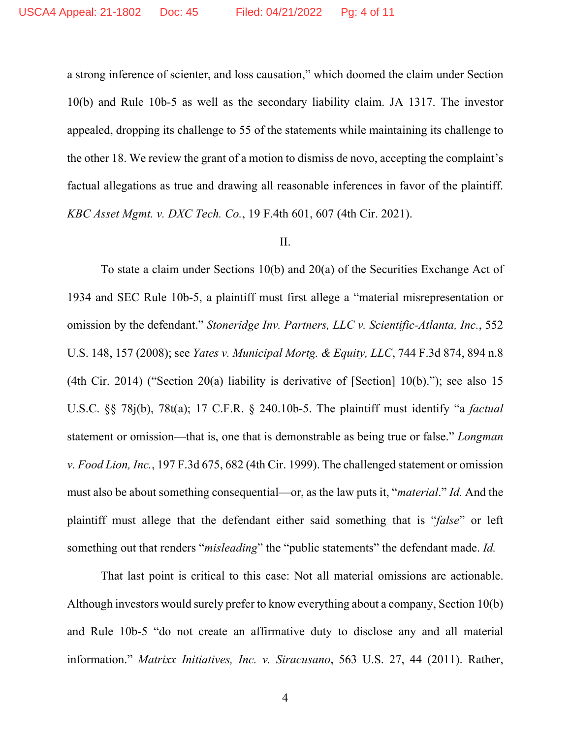a strong inference of scienter, and loss causation," which doomed the claim under Section 10(b) and Rule 10b-5 as well as the secondary liability claim. JA 1317. The investor appealed, dropping its challenge to 55 of the statements while maintaining its challenge to the other 18. We review the grant of a motion to dismiss de novo, accepting the complaint's factual allegations as true and drawing all reasonable inferences in favor of the plaintiff. *KBC Asset Mgmt. v. DXC Tech. Co.*, 19 F.4th 601, 607 (4th Cir. 2021).

## II.

To state a claim under Sections 10(b) and 20(a) of the Securities Exchange Act of 1934 and SEC Rule 10b-5, a plaintiff must first allege a "material misrepresentation or omission by the defendant." *Stoneridge Inv. Partners, LLC v. Scientific-Atlanta, Inc.*, 552 U.S. 148, 157 (2008); see *Yates v. Municipal Mortg. & Equity, LLC*, 744 F.3d 874, 894 n.8 (4th Cir. 2014) ("Section 20(a) liability is derivative of [Section] 10(b)."); see also 15 U.S.C. §§ 78j(b), 78t(a); 17 C.F.R. § 240.10b-5. The plaintiff must identify "a *factual* statement or omission—that is, one that is demonstrable as being true or false." *Longman v. Food Lion, Inc.*, 197 F.3d 675, 682 (4th Cir. 1999). The challenged statement or omission must also be about something consequential—or, as the law puts it, "*material*." *Id.* And the plaintiff must allege that the defendant either said something that is "*false*" or left something out that renders "*misleading*" the "public statements" the defendant made. *Id.*

That last point is critical to this case: Not all material omissions are actionable. Although investors would surely prefer to know everything about a company, Section 10(b) and Rule 10b-5 "do not create an affirmative duty to disclose any and all material information." *Matrixx Initiatives, Inc. v. Siracusano*, 563 U.S. 27, 44 (2011). Rather,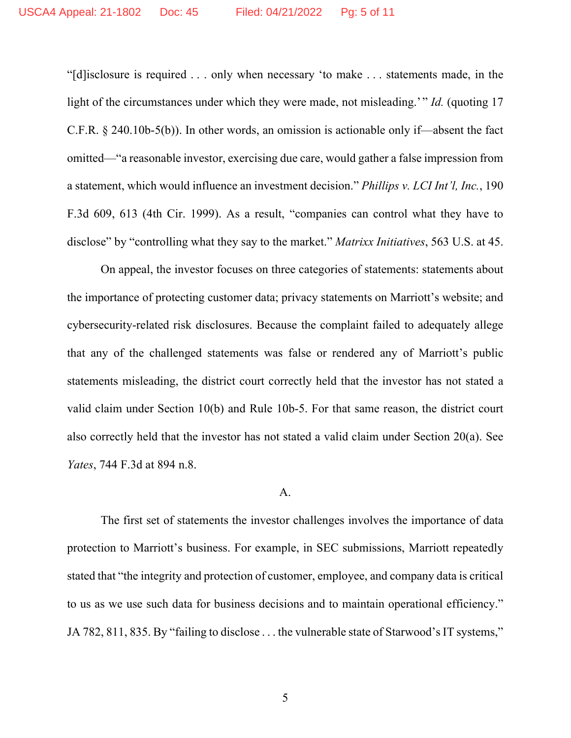"[d]isclosure is required . . . only when necessary 'to make . . . statements made, in the light of the circumstances under which they were made, not misleading.'" *Id.* (quoting 17 C.F.R.  $\S$  240.10b-5(b)). In other words, an omission is actionable only if—absent the fact omitted—"a reasonable investor, exercising due care, would gather a false impression from a statement, which would influence an investment decision." *Phillips v. LCI Int'l, Inc.*, 190 F.3d 609, 613 (4th Cir. 1999). As a result, "companies can control what they have to disclose" by "controlling what they say to the market." *Matrixx Initiatives*, 563 U.S. at 45.

On appeal, the investor focuses on three categories of statements: statements about the importance of protecting customer data; privacy statements on Marriott's website; and cybersecurity-related risk disclosures. Because the complaint failed to adequately allege that any of the challenged statements was false or rendered any of Marriott's public statements misleading, the district court correctly held that the investor has not stated a valid claim under Section 10(b) and Rule 10b-5. For that same reason, the district court also correctly held that the investor has not stated a valid claim under Section 20(a). See *Yates*, 744 F.3d at 894 n.8.

#### A.

The first set of statements the investor challenges involves the importance of data protection to Marriott's business. For example, in SEC submissions, Marriott repeatedly stated that "the integrity and protection of customer, employee, and company data is critical to us as we use such data for business decisions and to maintain operational efficiency." JA 782, 811, 835. By "failing to disclose . . . the vulnerable state of Starwood's IT systems,"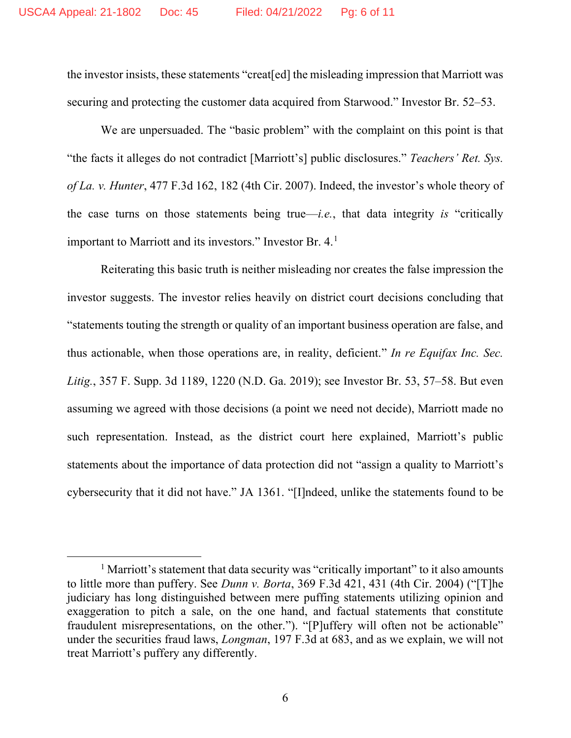the investor insists, these statements "creat[ed] the misleading impression that Marriott was securing and protecting the customer data acquired from Starwood." Investor Br. 52–53.

We are unpersuaded. The "basic problem" with the complaint on this point is that "the facts it alleges do not contradict [Marriott's] public disclosures." *Teachers' Ret. Sys. of La. v. Hunter*, 477 F.3d 162, 182 (4th Cir. 2007). Indeed, the investor's whole theory of the case turns on those statements being true—*i.e.*, that data integrity *is* "critically important to Marriott and its investors." Investor Br. 4.<sup>[1](#page-5-0)</sup>

Reiterating this basic truth is neither misleading nor creates the false impression the investor suggests. The investor relies heavily on district court decisions concluding that "statements touting the strength or quality of an important business operation are false, and thus actionable, when those operations are, in reality, deficient." *In re Equifax Inc. Sec. Litig.*, 357 F. Supp. 3d 1189, 1220 (N.D. Ga. 2019); see Investor Br. 53, 57–58. But even assuming we agreed with those decisions (a point we need not decide), Marriott made no such representation. Instead, as the district court here explained, Marriott's public statements about the importance of data protection did not "assign a quality to Marriott's cybersecurity that it did not have." JA 1361. "[I]ndeed, unlike the statements found to be

<span id="page-5-0"></span> $<sup>1</sup>$  Marriott's statement that data security was "critically important" to it also amounts</sup> to little more than puffery. See *Dunn v. Borta*, 369 F.3d 421, 431 (4th Cir. 2004) ("[T]he judiciary has long distinguished between mere puffing statements utilizing opinion and exaggeration to pitch a sale, on the one hand, and factual statements that constitute fraudulent misrepresentations, on the other."). "[P]uffery will often not be actionable" under the securities fraud laws, *Longman*, 197 F.3d at 683, and as we explain, we will not treat Marriott's puffery any differently.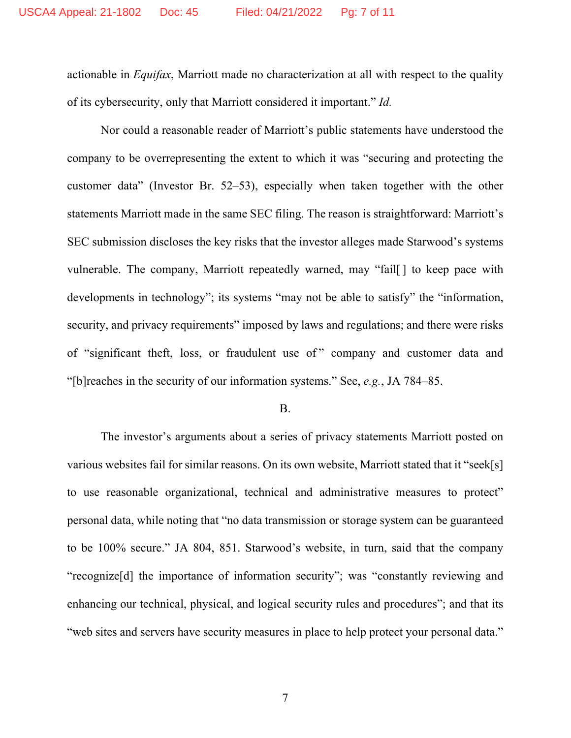actionable in *Equifax*, Marriott made no characterization at all with respect to the quality of its cybersecurity, only that Marriott considered it important." *Id.*

Nor could a reasonable reader of Marriott's public statements have understood the company to be overrepresenting the extent to which it was "securing and protecting the customer data" (Investor Br. 52–53), especially when taken together with the other statements Marriott made in the same SEC filing. The reason is straightforward: Marriott's SEC submission discloses the key risks that the investor alleges made Starwood's systems vulnerable. The company, Marriott repeatedly warned, may "fail[ ] to keep pace with developments in technology"; its systems "may not be able to satisfy" the "information, security, and privacy requirements" imposed by laws and regulations; and there were risks of "significant theft, loss, or fraudulent use of " company and customer data and "[b]reaches in the security of our information systems." See, *e.g.*, JA 784–85.

#### B.

The investor's arguments about a series of privacy statements Marriott posted on various websites fail for similar reasons. On its own website, Marriott stated that it "seek[s] to use reasonable organizational, technical and administrative measures to protect" personal data, while noting that "no data transmission or storage system can be guaranteed to be 100% secure." JA 804, 851. Starwood's website, in turn, said that the company "recognize[d] the importance of information security"; was "constantly reviewing and enhancing our technical, physical, and logical security rules and procedures"; and that its "web sites and servers have security measures in place to help protect your personal data."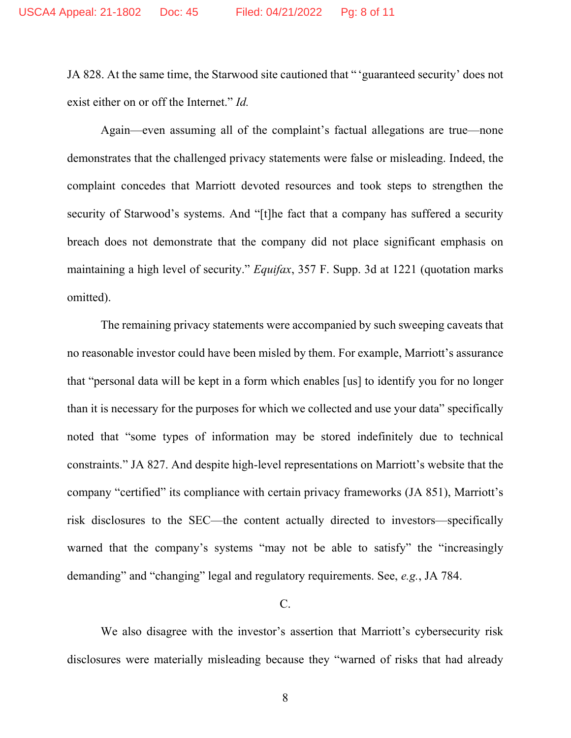JA 828. At the same time, the Starwood site cautioned that " 'guaranteed security' does not exist either on or off the Internet." *Id.*

Again—even assuming all of the complaint's factual allegations are true—none demonstrates that the challenged privacy statements were false or misleading. Indeed, the complaint concedes that Marriott devoted resources and took steps to strengthen the security of Starwood's systems. And "[t]he fact that a company has suffered a security breach does not demonstrate that the company did not place significant emphasis on maintaining a high level of security." *Equifax*, 357 F. Supp. 3d at 1221 (quotation marks omitted).

The remaining privacy statements were accompanied by such sweeping caveats that no reasonable investor could have been misled by them. For example, Marriott's assurance that "personal data will be kept in a form which enables [us] to identify you for no longer than it is necessary for the purposes for which we collected and use your data" specifically noted that "some types of information may be stored indefinitely due to technical constraints." JA 827. And despite high-level representations on Marriott's website that the company "certified" its compliance with certain privacy frameworks (JA 851), Marriott's risk disclosures to the SEC—the content actually directed to investors—specifically warned that the company's systems "may not be able to satisfy" the "increasingly demanding" and "changing" legal and regulatory requirements. See, *e.g.*, JA 784.

C.

We also disagree with the investor's assertion that Marriott's cybersecurity risk disclosures were materially misleading because they "warned of risks that had already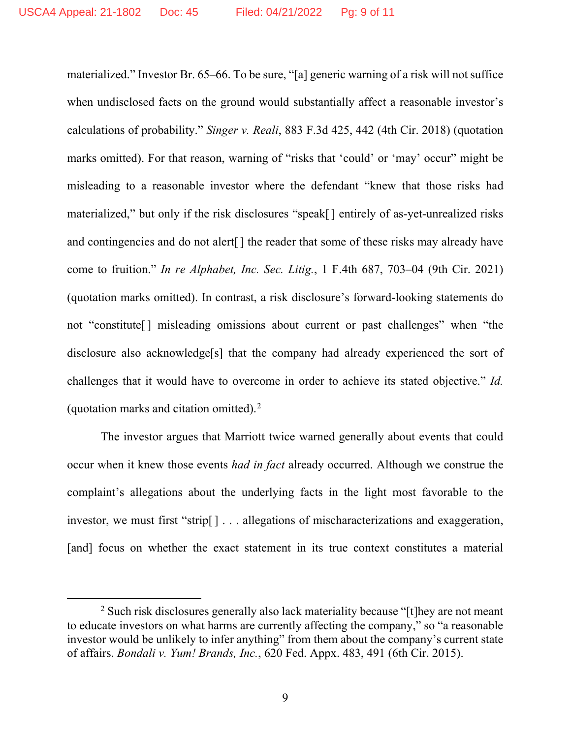materialized." Investor Br. 65–66. To be sure, "[a] generic warning of a risk will not suffice when undisclosed facts on the ground would substantially affect a reasonable investor's calculations of probability." *Singer v. Reali*, 883 F.3d 425, 442 (4th Cir. 2018) (quotation marks omitted). For that reason, warning of "risks that 'could' or 'may' occur' might be misleading to a reasonable investor where the defendant "knew that those risks had materialized," but only if the risk disclosures "speak[] entirely of as-yet-unrealized risks and contingencies and do not alert[] the reader that some of these risks may already have come to fruition." *In re Alphabet, Inc. Sec. Litig.*, 1 F.4th 687, 703–04 (9th Cir. 2021) (quotation marks omitted). In contrast, a risk disclosure's forward-looking statements do not "constitute[] misleading omissions about current or past challenges" when "the disclosure also acknowledge[s] that the company had already experienced the sort of challenges that it would have to overcome in order to achieve its stated objective." *Id.* (quotation marks and citation omitted).[2](#page-8-0)

The investor argues that Marriott twice warned generally about events that could occur when it knew those events *had in fact* already occurred. Although we construe the complaint's allegations about the underlying facts in the light most favorable to the investor, we must first "strip[] . . . allegations of mischaracterizations and exaggeration, [and] focus on whether the exact statement in its true context constitutes a material

<span id="page-8-0"></span><sup>&</sup>lt;sup>2</sup> Such risk disclosures generally also lack materiality because "[t] hey are not meant to educate investors on what harms are currently affecting the company," so "a reasonable investor would be unlikely to infer anything" from them about the company's current state of affairs. *Bondali v. Yum! Brands, Inc.*, 620 Fed. Appx. 483, 491 (6th Cir. 2015).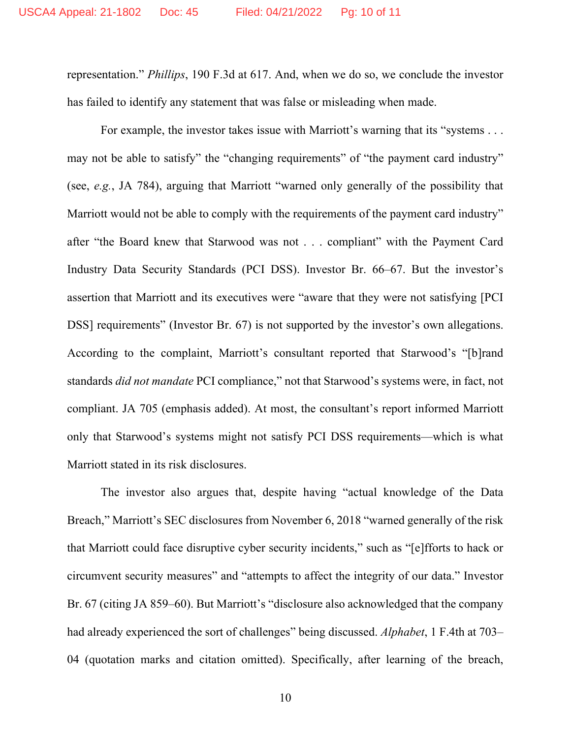representation." *Phillips*, 190 F.3d at 617. And, when we do so, we conclude the investor has failed to identify any statement that was false or misleading when made.

For example, the investor takes issue with Marriott's warning that its "systems . . . may not be able to satisfy" the "changing requirements" of "the payment card industry" (see, *e.g.*, JA 784), arguing that Marriott "warned only generally of the possibility that Marriott would not be able to comply with the requirements of the payment card industry" after "the Board knew that Starwood was not . . . compliant" with the Payment Card Industry Data Security Standards (PCI DSS). Investor Br. 66–67. But the investor's assertion that Marriott and its executives were "aware that they were not satisfying [PCI DSS] requirements" (Investor Br. 67) is not supported by the investor's own allegations. According to the complaint, Marriott's consultant reported that Starwood's "[b]rand standards *did not mandate* PCI compliance," not that Starwood's systems were, in fact, not compliant. JA 705 (emphasis added). At most, the consultant's report informed Marriott only that Starwood's systems might not satisfy PCI DSS requirements—which is what Marriott stated in its risk disclosures.

The investor also argues that, despite having "actual knowledge of the Data Breach," Marriott's SEC disclosures from November 6, 2018 "warned generally of the risk that Marriott could face disruptive cyber security incidents," such as "[e]fforts to hack or circumvent security measures" and "attempts to affect the integrity of our data." Investor Br. 67 (citing JA 859–60). But Marriott's "disclosure also acknowledged that the company had already experienced the sort of challenges" being discussed. *Alphabet*, 1 F.4th at 703– 04 (quotation marks and citation omitted). Specifically, after learning of the breach,